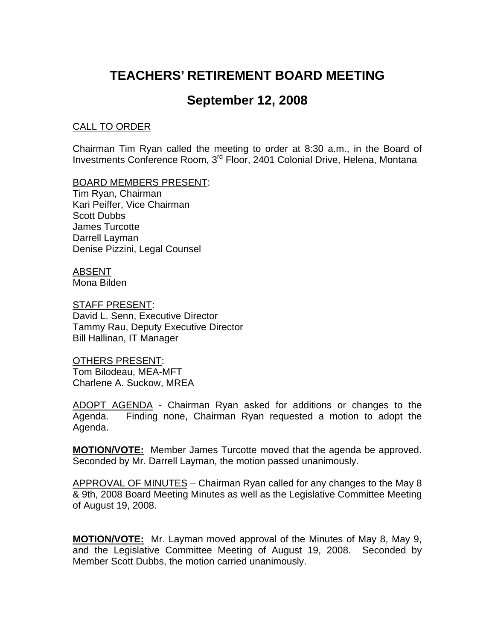# **TEACHERS' RETIREMENT BOARD MEETING**

# **September 12, 2008**

#### CALL TO ORDER

Chairman Tim Ryan called the meeting to order at 8:30 a.m., in the Board of Investments Conference Room, 3rd Floor, 2401 Colonial Drive, Helena, Montana

BOARD MEMBERS PRESENT:

Tim Ryan, Chairman Kari Peiffer, Vice Chairman Scott Dubbs James Turcotte Darrell Layman Denise Pizzini, Legal Counsel

ABSENT Mona Bilden

STAFF PRESENT: David L. Senn, Executive Director Tammy Rau, Deputy Executive Director Bill Hallinan, IT Manager

OTHERS PRESENT: Tom Bilodeau, MEA-MFT Charlene A. Suckow, MREA

ADOPT AGENDA - Chairman Ryan asked for additions or changes to the Agenda. Finding none, Chairman Ryan requested a motion to adopt the Agenda.

**MOTION/VOTE:** Member James Turcotte moved that the agenda be approved. Seconded by Mr. Darrell Layman, the motion passed unanimously.

APPROVAL OF MINUTES – Chairman Ryan called for any changes to the May 8 & 9th, 2008 Board Meeting Minutes as well as the Legislative Committee Meeting of August 19, 2008.

**MOTION/VOTE:** Mr. Layman moved approval of the Minutes of May 8, May 9, and the Legislative Committee Meeting of August 19, 2008. Seconded by Member Scott Dubbs, the motion carried unanimously.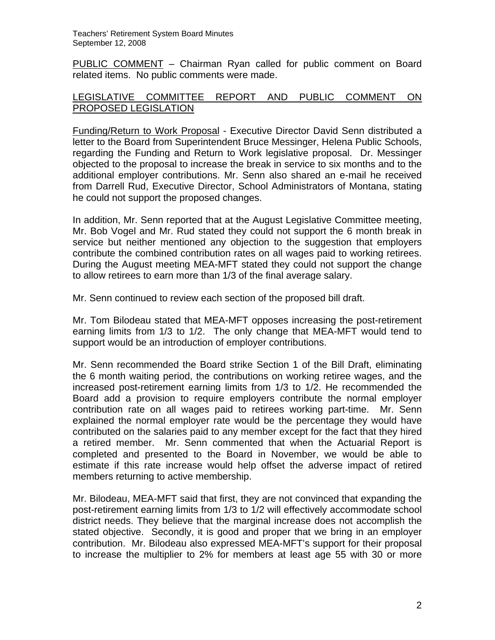PUBLIC COMMENT – Chairman Ryan called for public comment on Board related items. No public comments were made.

#### LEGISLATIVE COMMITTEE REPORT AND PUBLIC COMMENT ON PROPOSED LEGISLATION

Funding/Return to Work Proposal - Executive Director David Senn distributed a letter to the Board from Superintendent Bruce Messinger, Helena Public Schools, regarding the Funding and Return to Work legislative proposal. Dr. Messinger objected to the proposal to increase the break in service to six months and to the additional employer contributions. Mr. Senn also shared an e-mail he received from Darrell Rud, Executive Director, School Administrators of Montana, stating he could not support the proposed changes.

In addition, Mr. Senn reported that at the August Legislative Committee meeting, Mr. Bob Vogel and Mr. Rud stated they could not support the 6 month break in service but neither mentioned any objection to the suggestion that employers contribute the combined contribution rates on all wages paid to working retirees. During the August meeting MEA-MFT stated they could not support the change to allow retirees to earn more than 1/3 of the final average salary.

Mr. Senn continued to review each section of the proposed bill draft.

Mr. Tom Bilodeau stated that MEA-MFT opposes increasing the post-retirement earning limits from 1/3 to 1/2. The only change that MEA-MFT would tend to support would be an introduction of employer contributions.

Mr. Senn recommended the Board strike Section 1 of the Bill Draft, eliminating the 6 month waiting period, the contributions on working retiree wages, and the increased post-retirement earning limits from 1/3 to 1/2. He recommended the Board add a provision to require employers contribute the normal employer contribution rate on all wages paid to retirees working part-time. Mr. Senn explained the normal employer rate would be the percentage they would have contributed on the salaries paid to any member except for the fact that they hired a retired member. Mr. Senn commented that when the Actuarial Report is completed and presented to the Board in November, we would be able to estimate if this rate increase would help offset the adverse impact of retired members returning to active membership.

Mr. Bilodeau, MEA-MFT said that first, they are not convinced that expanding the post-retirement earning limits from 1/3 to 1/2 will effectively accommodate school district needs. They believe that the marginal increase does not accomplish the stated objective. Secondly, it is good and proper that we bring in an employer contribution. Mr. Bilodeau also expressed MEA-MFT's support for their proposal to increase the multiplier to 2% for members at least age 55 with 30 or more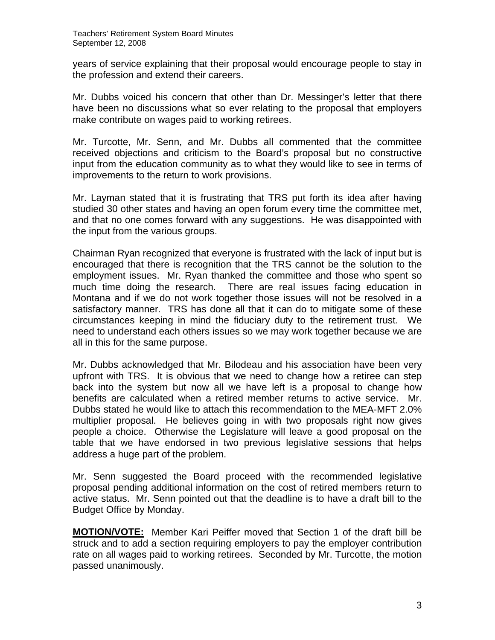years of service explaining that their proposal would encourage people to stay in the profession and extend their careers.

Mr. Dubbs voiced his concern that other than Dr. Messinger's letter that there have been no discussions what so ever relating to the proposal that employers make contribute on wages paid to working retirees.

Mr. Turcotte, Mr. Senn, and Mr. Dubbs all commented that the committee received objections and criticism to the Board's proposal but no constructive input from the education community as to what they would like to see in terms of improvements to the return to work provisions.

Mr. Layman stated that it is frustrating that TRS put forth its idea after having studied 30 other states and having an open forum every time the committee met, and that no one comes forward with any suggestions. He was disappointed with the input from the various groups.

Chairman Ryan recognized that everyone is frustrated with the lack of input but is encouraged that there is recognition that the TRS cannot be the solution to the employment issues. Mr. Ryan thanked the committee and those who spent so much time doing the research. There are real issues facing education in Montana and if we do not work together those issues will not be resolved in a satisfactory manner. TRS has done all that it can do to mitigate some of these circumstances keeping in mind the fiduciary duty to the retirement trust. We need to understand each others issues so we may work together because we are all in this for the same purpose.

Mr. Dubbs acknowledged that Mr. Bilodeau and his association have been very upfront with TRS. It is obvious that we need to change how a retiree can step back into the system but now all we have left is a proposal to change how benefits are calculated when a retired member returns to active service. Mr. Dubbs stated he would like to attach this recommendation to the MEA-MFT 2.0% multiplier proposal. He believes going in with two proposals right now gives people a choice. Otherwise the Legislature will leave a good proposal on the table that we have endorsed in two previous legislative sessions that helps address a huge part of the problem.

Mr. Senn suggested the Board proceed with the recommended legislative proposal pending additional information on the cost of retired members return to active status. Mr. Senn pointed out that the deadline is to have a draft bill to the Budget Office by Monday.

**MOTION/VOTE:** Member Kari Peiffer moved that Section 1 of the draft bill be struck and to add a section requiring employers to pay the employer contribution rate on all wages paid to working retirees. Seconded by Mr. Turcotte, the motion passed unanimously.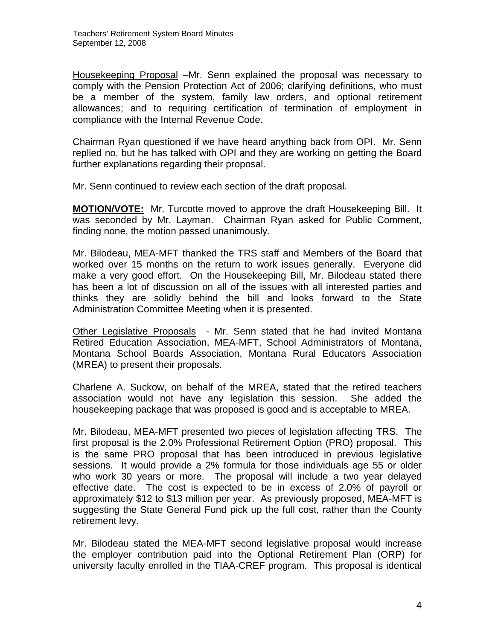Housekeeping Proposal –Mr. Senn explained the proposal was necessary to comply with the Pension Protection Act of 2006; clarifying definitions, who must be a member of the system, family law orders, and optional retirement allowances; and to requiring certification of termination of employment in compliance with the Internal Revenue Code.

Chairman Ryan questioned if we have heard anything back from OPI. Mr. Senn replied no, but he has talked with OPI and they are working on getting the Board further explanations regarding their proposal.

Mr. Senn continued to review each section of the draft proposal.

**MOTION/VOTE:** Mr. Turcotte moved to approve the draft Housekeeping Bill. It was seconded by Mr. Layman. Chairman Ryan asked for Public Comment, finding none, the motion passed unanimously.

Mr. Bilodeau, MEA-MFT thanked the TRS staff and Members of the Board that worked over 15 months on the return to work issues generally. Everyone did make a very good effort. On the Housekeeping Bill, Mr. Bilodeau stated there has been a lot of discussion on all of the issues with all interested parties and thinks they are solidly behind the bill and looks forward to the State Administration Committee Meeting when it is presented.

Other Legislative Proposals - Mr. Senn stated that he had invited Montana Retired Education Association, MEA-MFT, School Administrators of Montana, Montana School Boards Association, Montana Rural Educators Association (MREA) to present their proposals.

Charlene A. Suckow, on behalf of the MREA, stated that the retired teachers association would not have any legislation this session. She added the housekeeping package that was proposed is good and is acceptable to MREA.

Mr. Bilodeau, MEA-MFT presented two pieces of legislation affecting TRS. The first proposal is the 2.0% Professional Retirement Option (PRO) proposal. This is the same PRO proposal that has been introduced in previous legislative sessions. It would provide a 2% formula for those individuals age 55 or older who work 30 years or more. The proposal will include a two year delayed effective date. The cost is expected to be in excess of 2.0% of payroll or approximately \$12 to \$13 million per year. As previously proposed, MEA-MFT is suggesting the State General Fund pick up the full cost, rather than the County retirement levy.

Mr. Bilodeau stated the MEA-MFT second legislative proposal would increase the employer contribution paid into the Optional Retirement Plan (ORP) for university faculty enrolled in the TIAA-CREF program. This proposal is identical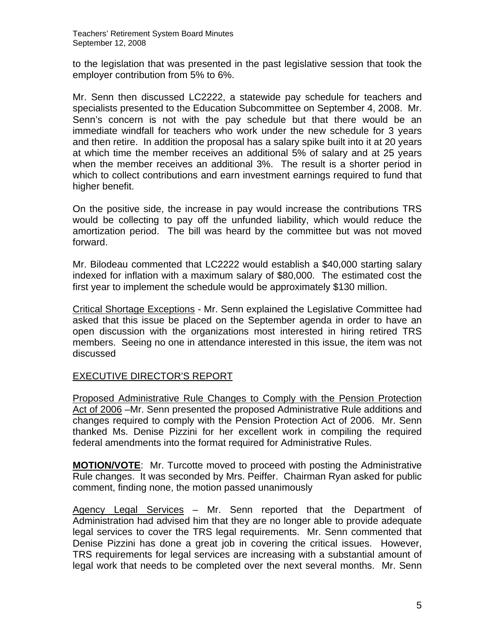to the legislation that was presented in the past legislative session that took the employer contribution from 5% to 6%.

Mr. Senn then discussed LC2222, a statewide pay schedule for teachers and specialists presented to the Education Subcommittee on September 4, 2008. Mr. Senn's concern is not with the pay schedule but that there would be an immediate windfall for teachers who work under the new schedule for 3 years and then retire. In addition the proposal has a salary spike built into it at 20 years at which time the member receives an additional 5% of salary and at 25 years when the member receives an additional 3%. The result is a shorter period in which to collect contributions and earn investment earnings required to fund that higher benefit.

On the positive side, the increase in pay would increase the contributions TRS would be collecting to pay off the unfunded liability, which would reduce the amortization period. The bill was heard by the committee but was not moved forward.

Mr. Bilodeau commented that LC2222 would establish a \$40,000 starting salary indexed for inflation with a maximum salary of \$80,000. The estimated cost the first year to implement the schedule would be approximately \$130 million.

Critical Shortage Exceptions - Mr. Senn explained the Legislative Committee had asked that this issue be placed on the September agenda in order to have an open discussion with the organizations most interested in hiring retired TRS members. Seeing no one in attendance interested in this issue, the item was not discussed

# EXECUTIVE DIRECTOR'S REPORT

Proposed Administrative Rule Changes to Comply with the Pension Protection Act of 2006 –Mr. Senn presented the proposed Administrative Rule additions and changes required to comply with the Pension Protection Act of 2006. Mr. Senn thanked Ms. Denise Pizzini for her excellent work in compiling the required federal amendments into the format required for Administrative Rules.

**MOTION/VOTE**: Mr. Turcotte moved to proceed with posting the Administrative Rule changes. It was seconded by Mrs. Peiffer. Chairman Ryan asked for public comment, finding none, the motion passed unanimously

Agency Legal Services – Mr. Senn reported that the Department of Administration had advised him that they are no longer able to provide adequate legal services to cover the TRS legal requirements. Mr. Senn commented that Denise Pizzini has done a great job in covering the critical issues. However, TRS requirements for legal services are increasing with a substantial amount of legal work that needs to be completed over the next several months. Mr. Senn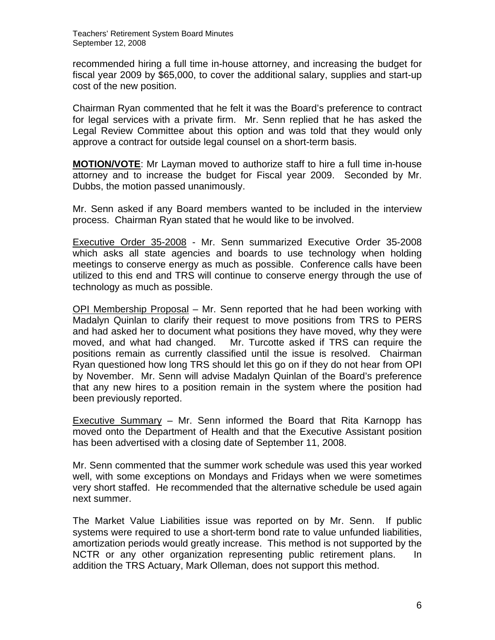recommended hiring a full time in-house attorney, and increasing the budget for fiscal year 2009 by \$65,000, to cover the additional salary, supplies and start-up cost of the new position.

Chairman Ryan commented that he felt it was the Board's preference to contract for legal services with a private firm. Mr. Senn replied that he has asked the Legal Review Committee about this option and was told that they would only approve a contract for outside legal counsel on a short-term basis.

**MOTION/VOTE**: Mr Layman moved to authorize staff to hire a full time in-house attorney and to increase the budget for Fiscal year 2009. Seconded by Mr. Dubbs, the motion passed unanimously.

Mr. Senn asked if any Board members wanted to be included in the interview process. Chairman Ryan stated that he would like to be involved.

Executive Order 35-2008 - Mr. Senn summarized Executive Order 35-2008 which asks all state agencies and boards to use technology when holding meetings to conserve energy as much as possible. Conference calls have been utilized to this end and TRS will continue to conserve energy through the use of technology as much as possible.

OPI Membership Proposal – Mr. Senn reported that he had been working with Madalyn Quinlan to clarify their request to move positions from TRS to PERS and had asked her to document what positions they have moved, why they were moved, and what had changed. Mr. Turcotte asked if TRS can require the positions remain as currently classified until the issue is resolved. Chairman Ryan questioned how long TRS should let this go on if they do not hear from OPI by November. Mr. Senn will advise Madalyn Quinlan of the Board's preference that any new hires to a position remain in the system where the position had been previously reported.

Executive Summary – Mr. Senn informed the Board that Rita Karnopp has moved onto the Department of Health and that the Executive Assistant position has been advertised with a closing date of September 11, 2008.

Mr. Senn commented that the summer work schedule was used this year worked well, with some exceptions on Mondays and Fridays when we were sometimes very short staffed. He recommended that the alternative schedule be used again next summer.

The Market Value Liabilities issue was reported on by Mr. Senn. If public systems were required to use a short-term bond rate to value unfunded liabilities, amortization periods would greatly increase. This method is not supported by the NCTR or any other organization representing public retirement plans. In addition the TRS Actuary, Mark Olleman, does not support this method.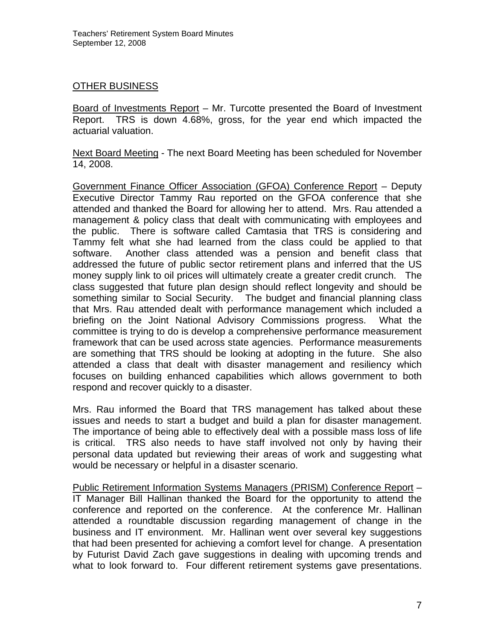## OTHER BUSINESS

Board of Investments Report – Mr. Turcotte presented the Board of Investment Report. TRS is down 4.68%, gross, for the year end which impacted the actuarial valuation.

Next Board Meeting - The next Board Meeting has been scheduled for November 14, 2008.

Government Finance Officer Association (GFOA) Conference Report – Deputy Executive Director Tammy Rau reported on the GFOA conference that she attended and thanked the Board for allowing her to attend. Mrs. Rau attended a management & policy class that dealt with communicating with employees and the public. There is software called Camtasia that TRS is considering and Tammy felt what she had learned from the class could be applied to that software. Another class attended was a pension and benefit class that addressed the future of public sector retirement plans and inferred that the US money supply link to oil prices will ultimately create a greater credit crunch. The class suggested that future plan design should reflect longevity and should be something similar to Social Security. The budget and financial planning class that Mrs. Rau attended dealt with performance management which included a briefing on the Joint National Advisory Commissions progress. What the committee is trying to do is develop a comprehensive performance measurement framework that can be used across state agencies. Performance measurements are something that TRS should be looking at adopting in the future. She also attended a class that dealt with disaster management and resiliency which focuses on building enhanced capabilities which allows government to both respond and recover quickly to a disaster.

Mrs. Rau informed the Board that TRS management has talked about these issues and needs to start a budget and build a plan for disaster management. The importance of being able to effectively deal with a possible mass loss of life is critical. TRS also needs to have staff involved not only by having their personal data updated but reviewing their areas of work and suggesting what would be necessary or helpful in a disaster scenario.

Public Retirement Information Systems Managers (PRISM) Conference Report – IT Manager Bill Hallinan thanked the Board for the opportunity to attend the conference and reported on the conference. At the conference Mr. Hallinan attended a roundtable discussion regarding management of change in the business and IT environment. Mr. Hallinan went over several key suggestions that had been presented for achieving a comfort level for change. A presentation by Futurist David Zach gave suggestions in dealing with upcoming trends and what to look forward to. Four different retirement systems gave presentations.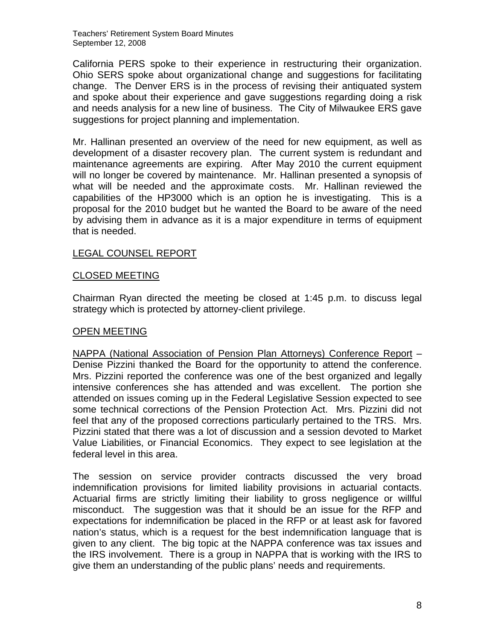Teachers' Retirement System Board Minutes September 12, 2008

California PERS spoke to their experience in restructuring their organization. Ohio SERS spoke about organizational change and suggestions for facilitating change. The Denver ERS is in the process of revising their antiquated system and spoke about their experience and gave suggestions regarding doing a risk and needs analysis for a new line of business. The City of Milwaukee ERS gave suggestions for project planning and implementation.

Mr. Hallinan presented an overview of the need for new equipment, as well as development of a disaster recovery plan. The current system is redundant and maintenance agreements are expiring. After May 2010 the current equipment will no longer be covered by maintenance. Mr. Hallinan presented a synopsis of what will be needed and the approximate costs. Mr. Hallinan reviewed the capabilities of the HP3000 which is an option he is investigating. This is a proposal for the 2010 budget but he wanted the Board to be aware of the need by advising them in advance as it is a major expenditure in terms of equipment that is needed.

#### LEGAL COUNSEL REPORT

#### CLOSED MEETING

Chairman Ryan directed the meeting be closed at 1:45 p.m. to discuss legal strategy which is protected by attorney-client privilege.

#### OPEN MEETING

NAPPA (National Association of Pension Plan Attorneys) Conference Report – Denise Pizzini thanked the Board for the opportunity to attend the conference. Mrs. Pizzini reported the conference was one of the best organized and legally intensive conferences she has attended and was excellent. The portion she attended on issues coming up in the Federal Legislative Session expected to see some technical corrections of the Pension Protection Act. Mrs. Pizzini did not feel that any of the proposed corrections particularly pertained to the TRS. Mrs. Pizzini stated that there was a lot of discussion and a session devoted to Market Value Liabilities, or Financial Economics. They expect to see legislation at the federal level in this area.

The session on service provider contracts discussed the very broad indemnification provisions for limited liability provisions in actuarial contacts. Actuarial firms are strictly limiting their liability to gross negligence or willful misconduct. The suggestion was that it should be an issue for the RFP and expectations for indemnification be placed in the RFP or at least ask for favored nation's status, which is a request for the best indemnification language that is given to any client. The big topic at the NAPPA conference was tax issues and the IRS involvement. There is a group in NAPPA that is working with the IRS to give them an understanding of the public plans' needs and requirements.